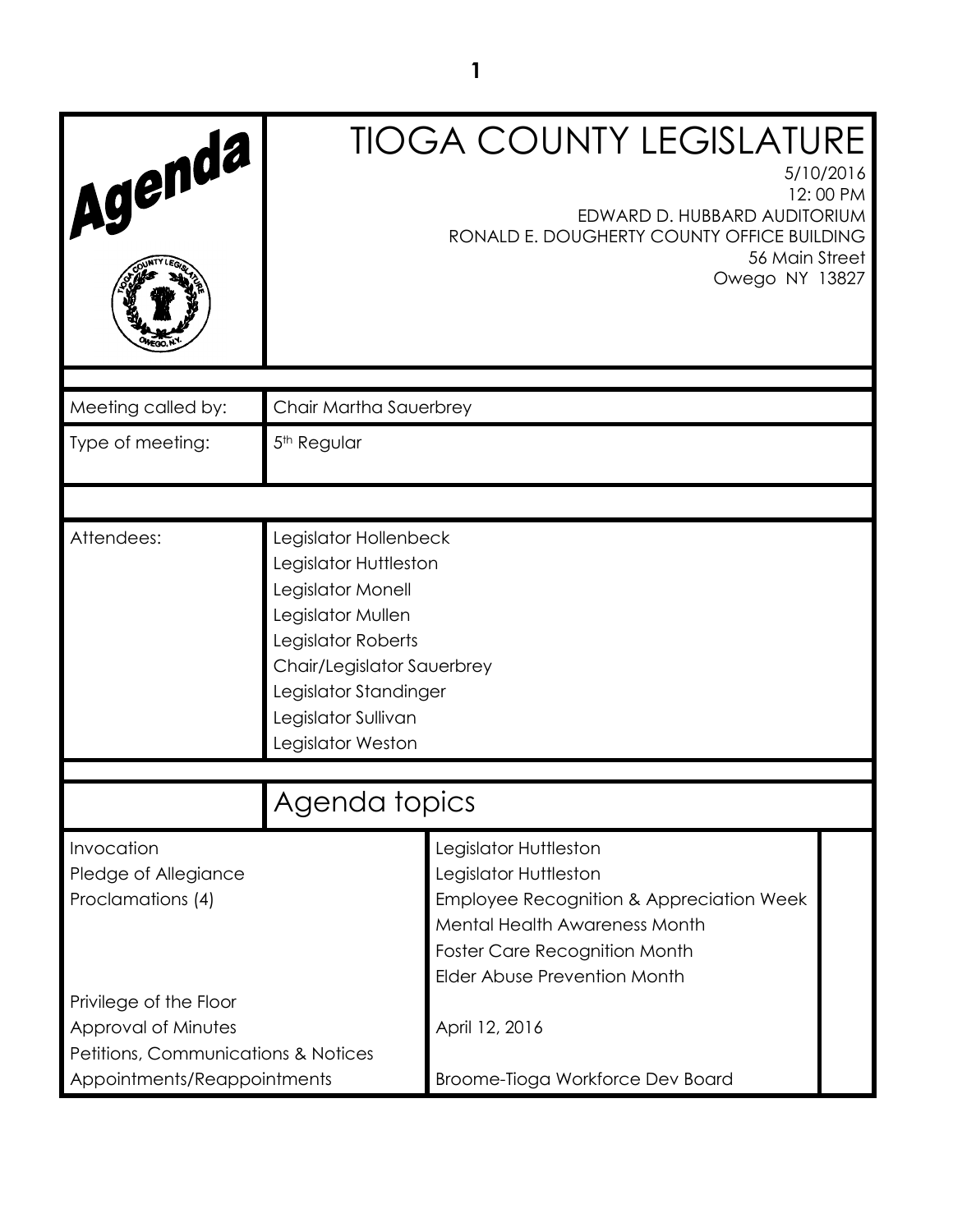| Agenda                                                                                                   |                                                                                                                                                                                                                   | <b>TIOGA COUNTY LEGISLATURE</b><br>5/10/2016<br>12:00 PM<br>EDWARD D. HUBBARD AUDITORIUM<br>RONALD E. DOUGHERTY COUNTY OFFICE BUILDING<br>56 Main Street<br>Owego NY 13827                                            |  |
|----------------------------------------------------------------------------------------------------------|-------------------------------------------------------------------------------------------------------------------------------------------------------------------------------------------------------------------|-----------------------------------------------------------------------------------------------------------------------------------------------------------------------------------------------------------------------|--|
| Meeting called by:                                                                                       | Chair Martha Sauerbrey                                                                                                                                                                                            |                                                                                                                                                                                                                       |  |
| Type of meeting:                                                                                         | 5 <sup>th</sup> Regular                                                                                                                                                                                           |                                                                                                                                                                                                                       |  |
|                                                                                                          |                                                                                                                                                                                                                   |                                                                                                                                                                                                                       |  |
| Attendees:                                                                                               | Legislator Hollenbeck<br>Legislator Huttleston<br>Legislator Monell<br>Legislator Mullen<br>Legislator Roberts<br>Chair/Legislator Sauerbrey<br>Legislator Standinger<br>Legislator Sullivan<br>Legislator Weston |                                                                                                                                                                                                                       |  |
| Agenda topics                                                                                            |                                                                                                                                                                                                                   |                                                                                                                                                                                                                       |  |
| Invocation<br>Pledge of Allegiance<br>Proclamations (4)<br>Privilege of the Floor<br>Approval of Minutes |                                                                                                                                                                                                                   | Legislator Huttleston<br>Legislator Huttleston<br>Employee Recognition & Appreciation Week<br>Mental Health Awareness Month<br><b>Foster Care Recognition Month</b><br>Elder Abuse Prevention Month<br>April 12, 2016 |  |
| Petitions, Communications & Notices<br>Appointments/Reappointments                                       |                                                                                                                                                                                                                   | Broome-Tioga Workforce Dev Board                                                                                                                                                                                      |  |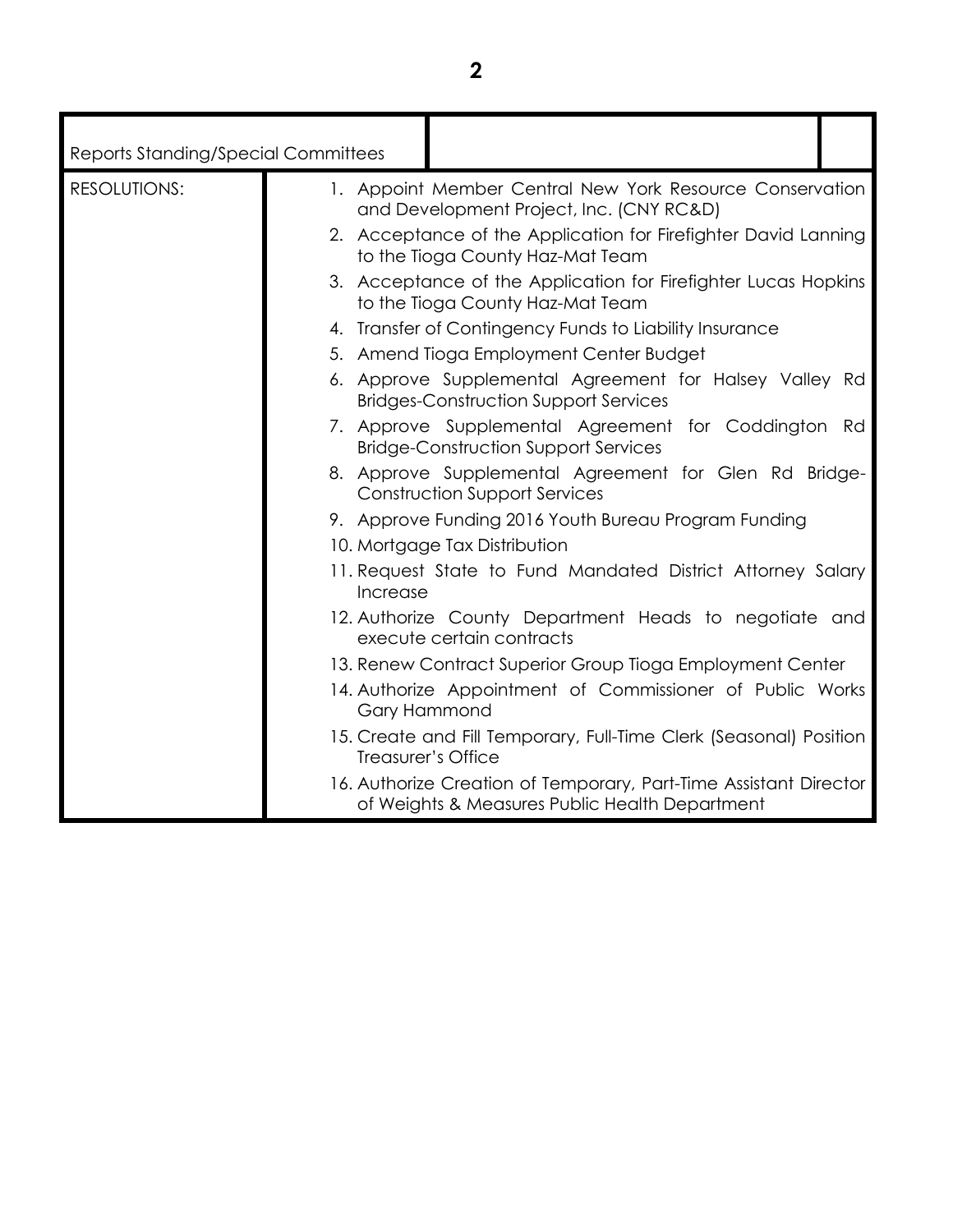| <b>RESOLUTIONS:</b><br>and Development Project, Inc. (CNY RC&D)<br>to the Tioga County Haz-Mat Team<br>to the Tioga County Haz-Mat Team<br>4. Transfer of Contingency Funds to Liability Insurance<br>5. Amend Tioga Employment Center Budget                                                                                                                                                                                     | <b>Reports Standing/Special Committees</b> |                                                                                                                                                                                                                                                                                                                                                                                                                                                                                                                                                                                                                                                                                                         |
|-----------------------------------------------------------------------------------------------------------------------------------------------------------------------------------------------------------------------------------------------------------------------------------------------------------------------------------------------------------------------------------------------------------------------------------|--------------------------------------------|---------------------------------------------------------------------------------------------------------------------------------------------------------------------------------------------------------------------------------------------------------------------------------------------------------------------------------------------------------------------------------------------------------------------------------------------------------------------------------------------------------------------------------------------------------------------------------------------------------------------------------------------------------------------------------------------------------|
| <b>Bridges-Construction Support Services</b><br><b>Bridge-Construction Support Services</b><br><b>Construction Support Services</b><br>9. Approve Funding 2016 Youth Bureau Program Funding<br>10. Mortgage Tax Distribution<br>Increase<br>execute certain contracts<br>13. Renew Contract Superior Group Tioga Employment Center<br><b>Gary Hammond</b><br>Treasurer's Office<br>of Weights & Measures Public Health Department |                                            | 1. Appoint Member Central New York Resource Conservation<br>2. Acceptance of the Application for Firefighter David Lanning<br>3. Acceptance of the Application for Firefighter Lucas Hopkins<br>6. Approve Supplemental Agreement for Halsey Valley Rd<br>7. Approve Supplemental Agreement for Coddington Rd<br>8. Approve Supplemental Agreement for Glen Rd Bridge-<br>11. Request State to Fund Mandated District Attorney Salary<br>12. Authorize County Department Heads to negotiate and<br>14. Authorize Appointment of Commissioner of Public Works<br>15. Create and Fill Temporary, Full-Time Clerk (Seasonal) Position<br>16. Authorize Creation of Temporary, Part-Time Assistant Director |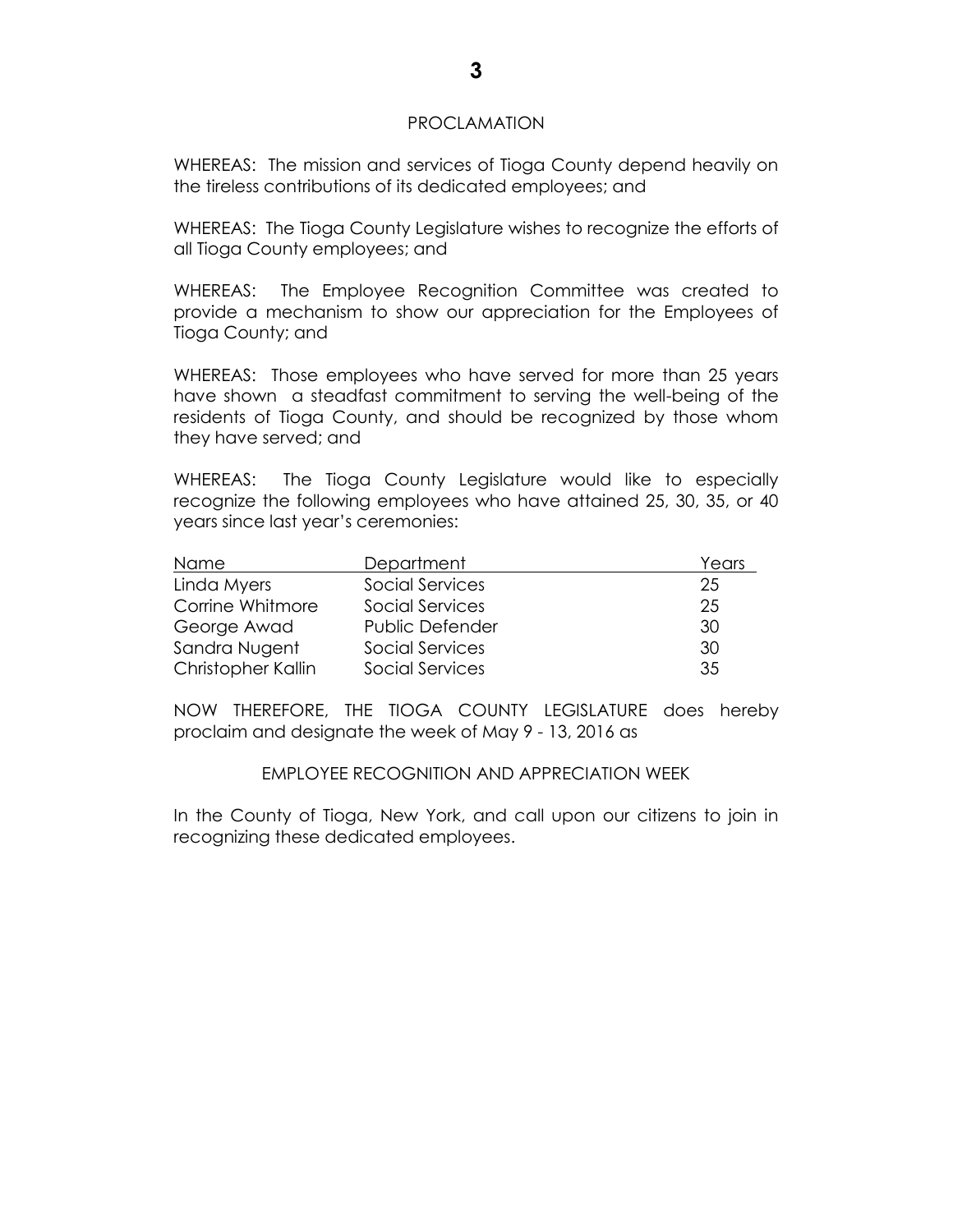#### PROCLAMATION

WHEREAS: The mission and services of Tioga County depend heavily on the tireless contributions of its dedicated employees; and

WHEREAS: The Tioga County Legislature wishes to recognize the efforts of all Tioga County employees; and

WHEREAS: The Employee Recognition Committee was created to provide a mechanism to show our appreciation for the Employees of Tioga County; and

WHEREAS: Those employees who have served for more than 25 years have shown a steadfast commitment to serving the well-being of the residents of Tioga County, and should be recognized by those whom they have served; and

WHEREAS: The Tioga County Legislature would like to especially recognize the following employees who have attained 25, 30, 35, or 40 years since last year's ceremonies:

| Name               | Department             | Years |
|--------------------|------------------------|-------|
| Linda Myers        | Social Services        | 25    |
| Corrine Whitmore   | Social Services        | 25    |
| George Awad        | <b>Public Defender</b> | 30    |
| Sandra Nugent      | Social Services        | 30    |
| Christopher Kallin | Social Services        | 35    |

NOW THEREFORE, THE TIOGA COUNTY LEGISLATURE does hereby proclaim and designate the week of May 9 - 13, 2016 as

#### EMPLOYEE RECOGNITION AND APPRECIATION WEEK

In the County of Tioga, New York, and call upon our citizens to join in recognizing these dedicated employees.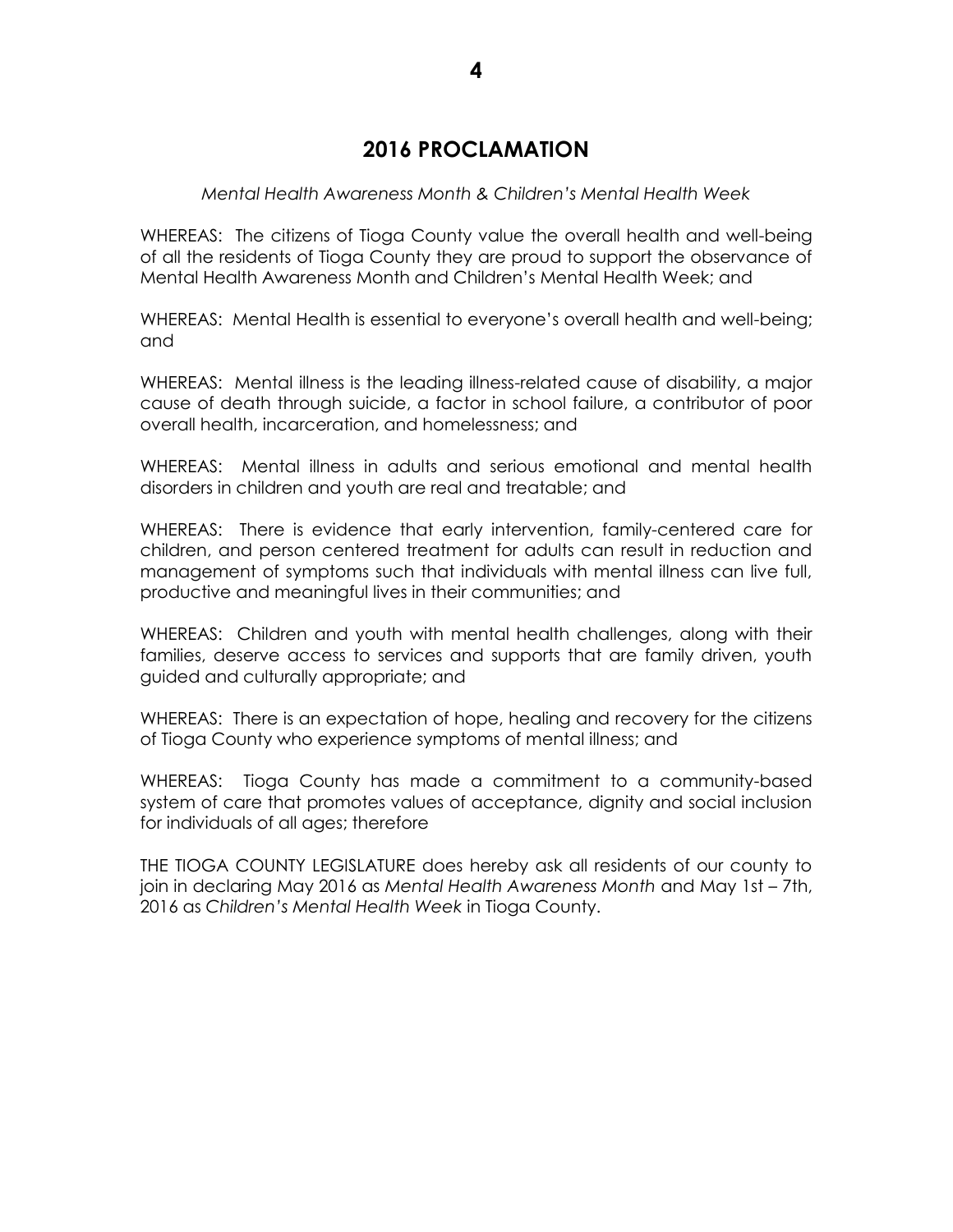# **2016 PROCLAMATION**

#### *Mental Health Awareness Month & Children's Mental Health Week*

WHEREAS: The citizens of Tioga County value the overall health and well-being of all the residents of Tioga County they are proud to support the observance of Mental Health Awareness Month and Children's Mental Health Week; and

WHEREAS: Mental Health is essential to everyone's overall health and well-being; and

WHEREAS: Mental illness is the leading illness-related cause of disability, a major cause of death through suicide, a factor in school failure, a contributor of poor overall health, incarceration, and homelessness; and

WHEREAS: Mental illness in adults and serious emotional and mental health disorders in children and youth are real and treatable; and

WHEREAS: There is evidence that early intervention, family-centered care for children, and person centered treatment for adults can result in reduction and management of symptoms such that individuals with mental illness can live full, productive and meaningful lives in their communities; and

WHEREAS: Children and youth with mental health challenges, along with their families, deserve access to services and supports that are family driven, youth guided and culturally appropriate; and

WHEREAS: There is an expectation of hope, healing and recovery for the citizens of Tioga County who experience symptoms of mental illness; and

WHEREAS: Tioga County has made a commitment to a community-based system of care that promotes values of acceptance, dignity and social inclusion for individuals of all ages; therefore

THE TIOGA COUNTY LEGISLATURE does hereby ask all residents of our county to join in declaring May 2016 as *Mental Health Awareness Month* and May 1st – 7th, 2016 as *Children's Mental Health Week* in Tioga County.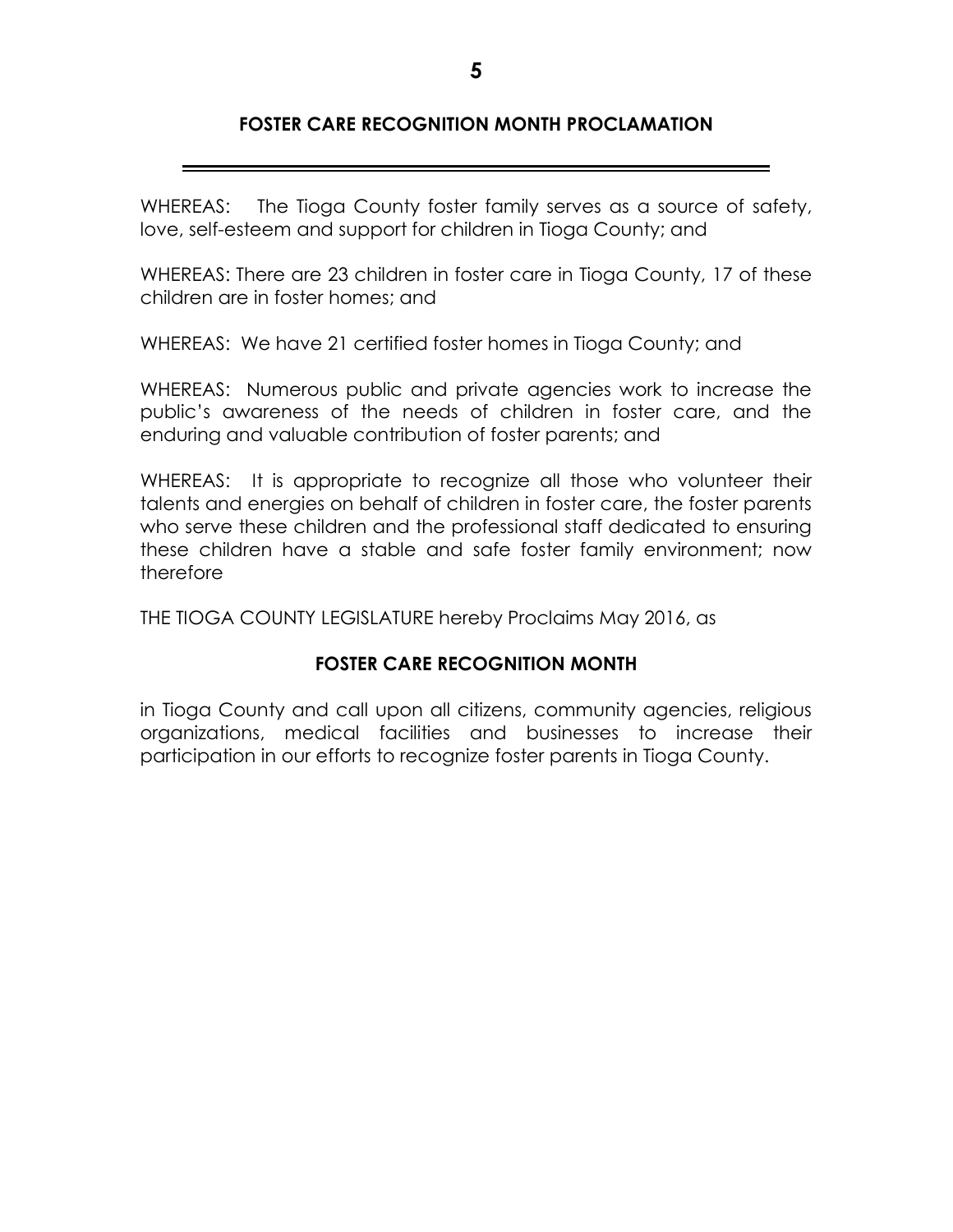## **FOSTER CARE RECOGNITION MONTH PROCLAMATION**

WHEREAS: The Tioga County foster family serves as a source of safety, love, self-esteem and support for children in Tioga County; and

WHEREAS: There are 23 children in foster care in Tioga County, 17 of these children are in foster homes; and

WHEREAS: We have 21 certified foster homes in Tioga County; and

WHEREAS: Numerous public and private agencies work to increase the public's awareness of the needs of children in foster care, and the enduring and valuable contribution of foster parents; and

WHEREAS: It is appropriate to recognize all those who volunteer their talents and energies on behalf of children in foster care, the foster parents who serve these children and the professional staff dedicated to ensuring these children have a stable and safe foster family environment; now therefore

THE TIOGA COUNTY LEGISLATURE hereby Proclaims May 2016, as

## **FOSTER CARE RECOGNITION MONTH**

in Tioga County and call upon all citizens, community agencies, religious organizations, medical facilities and businesses to increase their participation in our efforts to recognize foster parents in Tioga County.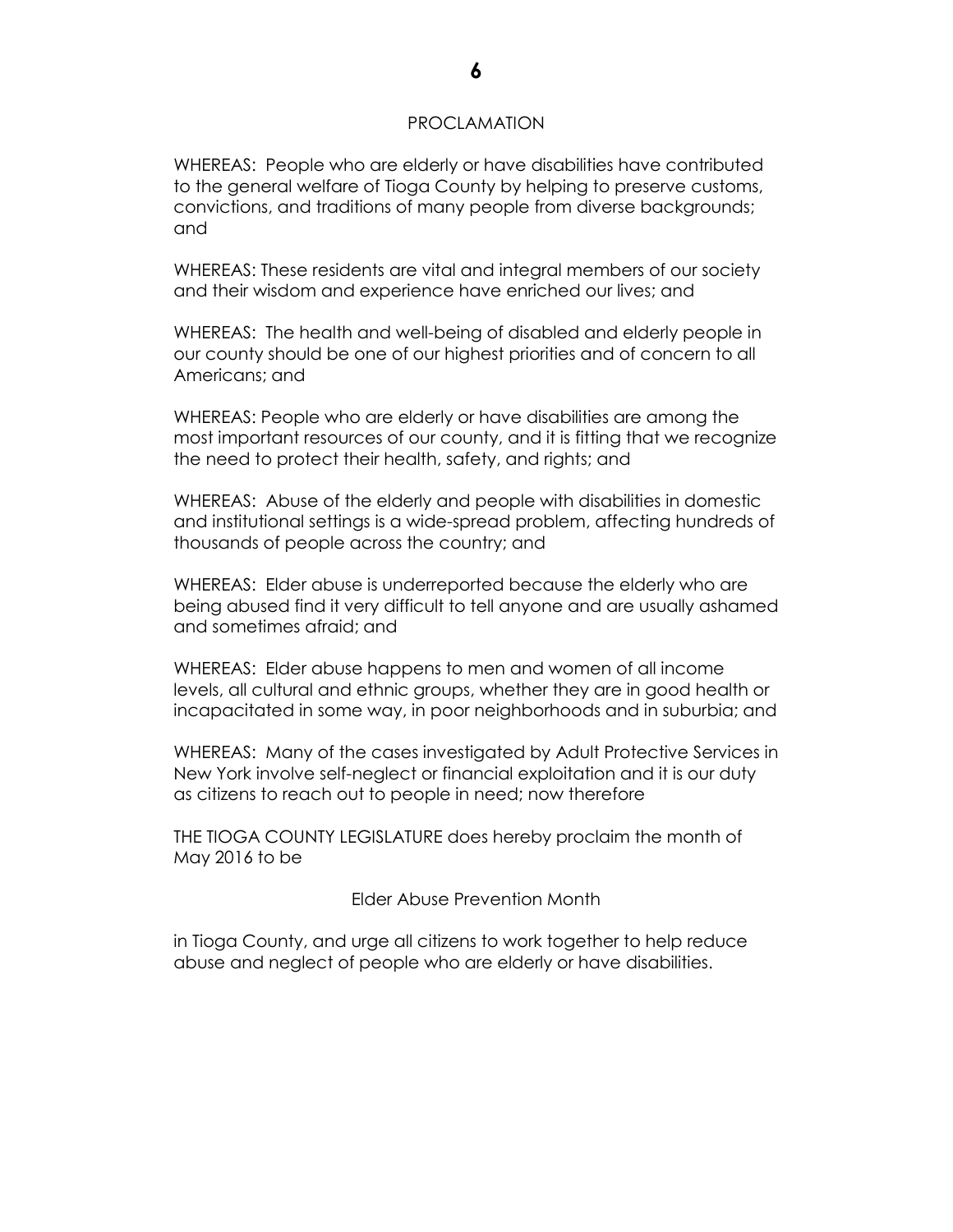#### PROCLAMATION

WHEREAS: People who are elderly or have disabilities have contributed to the general welfare of Tioga County by helping to preserve customs, convictions, and traditions of many people from diverse backgrounds; and

WHEREAS: These residents are vital and integral members of our society and their wisdom and experience have enriched our lives; and

WHEREAS: The health and well-being of disabled and elderly people in our county should be one of our highest priorities and of concern to all Americans; and

WHEREAS: People who are elderly or have disabilities are among the most important resources of our county, and it is fitting that we recognize the need to protect their health, safety, and rights; and

WHEREAS: Abuse of the elderly and people with disabilities in domestic and institutional settings is a wide-spread problem, affecting hundreds of thousands of people across the country; and

WHEREAS: Elder abuse is underreported because the elderly who are being abused find it very difficult to tell anyone and are usually ashamed and sometimes afraid; and

WHEREAS: Elder abuse happens to men and women of all income levels, all cultural and ethnic groups, whether they are in good health or incapacitated in some way, in poor neighborhoods and in suburbia; and

WHEREAS: Many of the cases investigated by Adult Protective Services in New York involve self-neglect or financial exploitation and it is our duty as citizens to reach out to people in need; now therefore

THE TIOGA COUNTY LEGISLATURE does hereby proclaim the month of May 2016 to be

Elder Abuse Prevention Month

in Tioga County, and urge all citizens to work together to help reduce abuse and neglect of people who are elderly or have disabilities.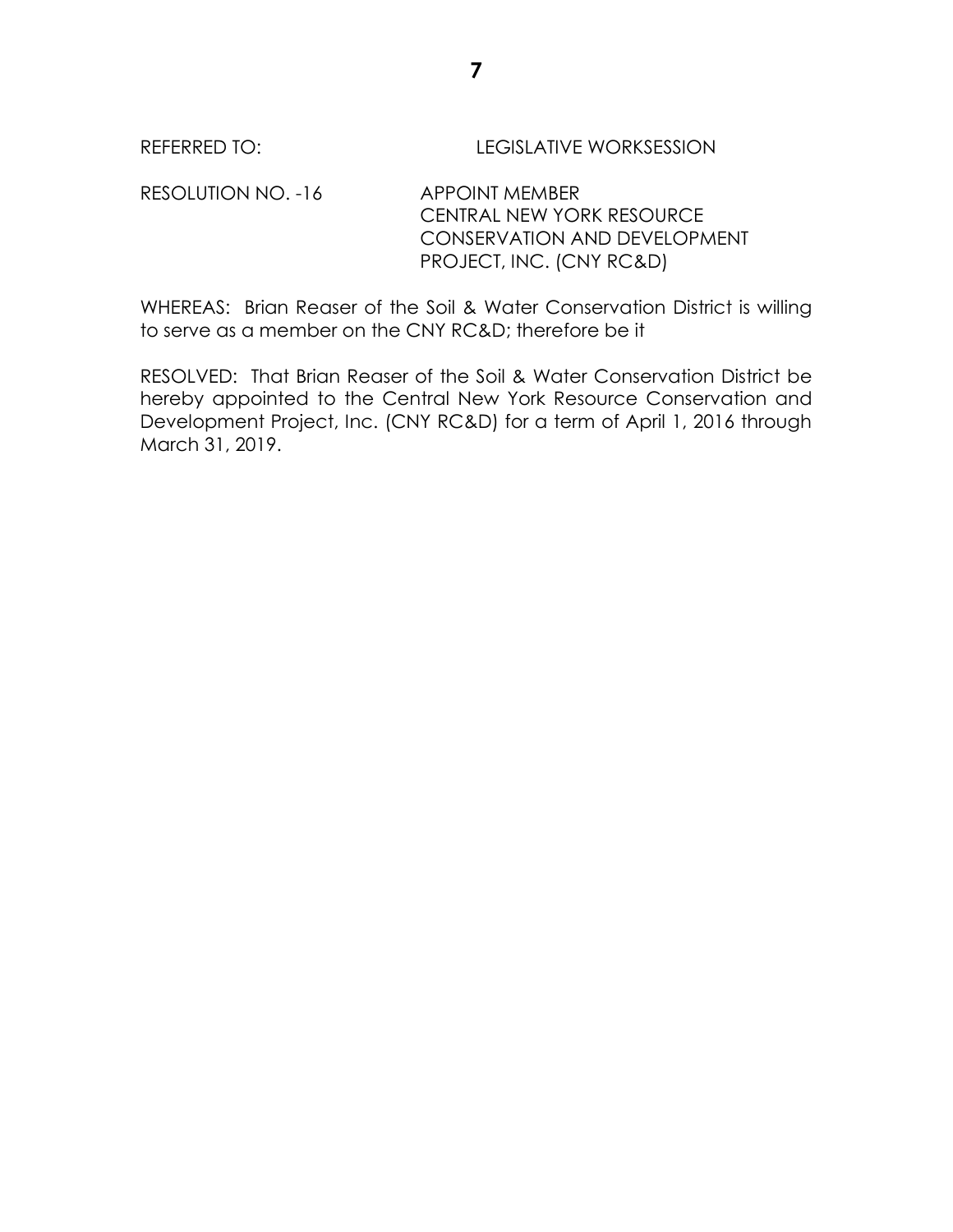RESOLUTION NO. -16 APPOINT MEMBER CENTRAL NEW YORK RESOURCE CONSERVATION AND DEVELOPMENT PROJECT, INC. (CNY RC&D)

WHEREAS: Brian Reaser of the Soil & Water Conservation District is willing to serve as a member on the CNY RC&D; therefore be it

RESOLVED: That Brian Reaser of the Soil & Water Conservation District be hereby appointed to the Central New York Resource Conservation and Development Project, Inc. (CNY RC&D) for a term of April 1, 2016 through March 31, 2019.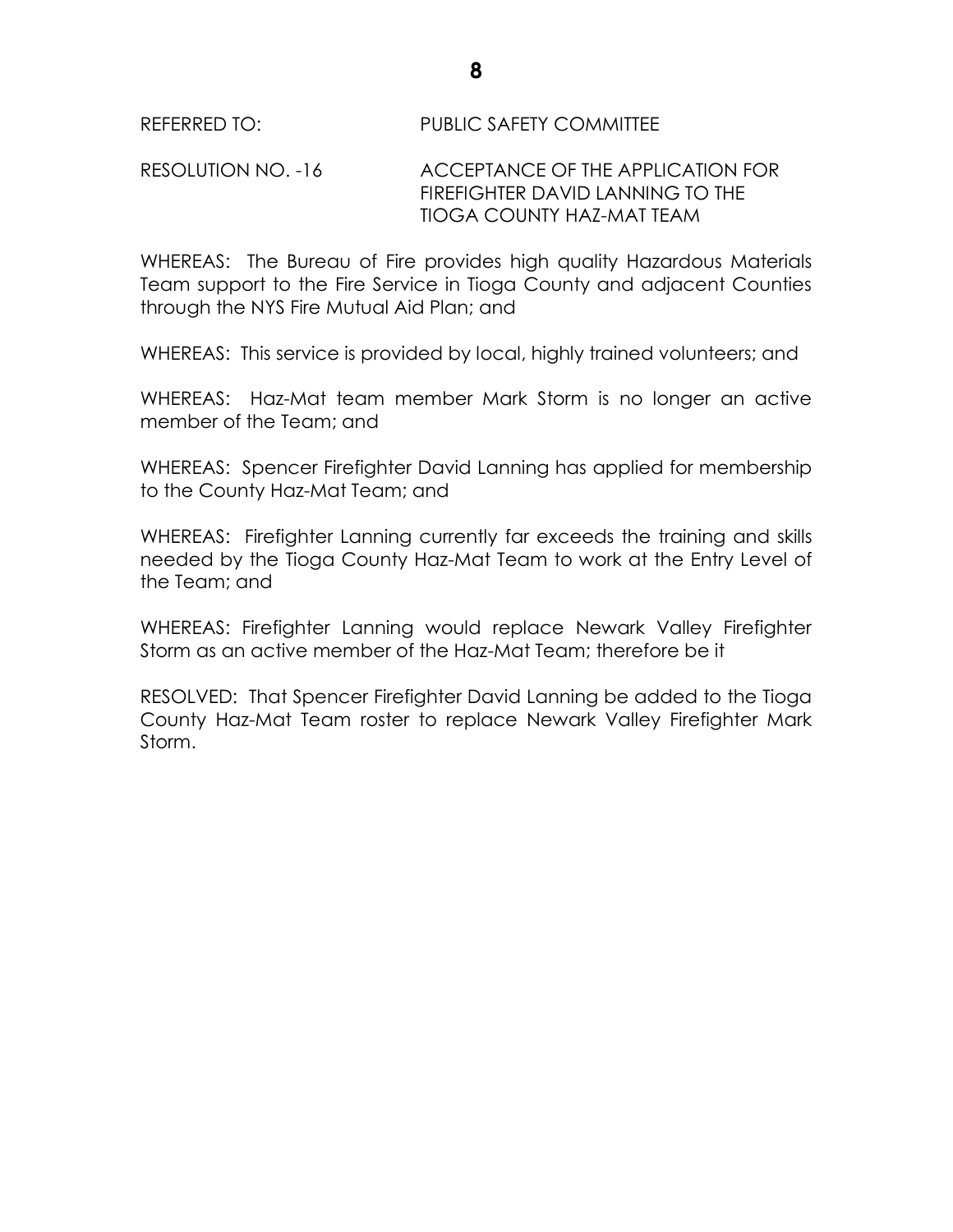## RESOLUTION NO. -16 ACCEPTANCE OF THE APPLICATION FOR FIREFIGHTER DAVID LANNING TO THE TIOGA COUNTY HAZ-MAT TEAM

WHEREAS: The Bureau of Fire provides high quality Hazardous Materials Team support to the Fire Service in Tioga County and adjacent Counties through the NYS Fire Mutual Aid Plan; and

WHEREAS: This service is provided by local, highly trained volunteers; and

WHEREAS: Haz-Mat team member Mark Storm is no longer an active member of the Team; and

WHEREAS: Spencer Firefighter David Lanning has applied for membership to the County Haz-Mat Team; and

WHEREAS: Firefighter Lanning currently far exceeds the training and skills needed by the Tioga County Haz-Mat Team to work at the Entry Level of the Team; and

WHEREAS: Firefighter Lanning would replace Newark Valley Firefighter Storm as an active member of the Haz-Mat Team; therefore be it

RESOLVED: That Spencer Firefighter David Lanning be added to the Tioga County Haz-Mat Team roster to replace Newark Valley Firefighter Mark Storm.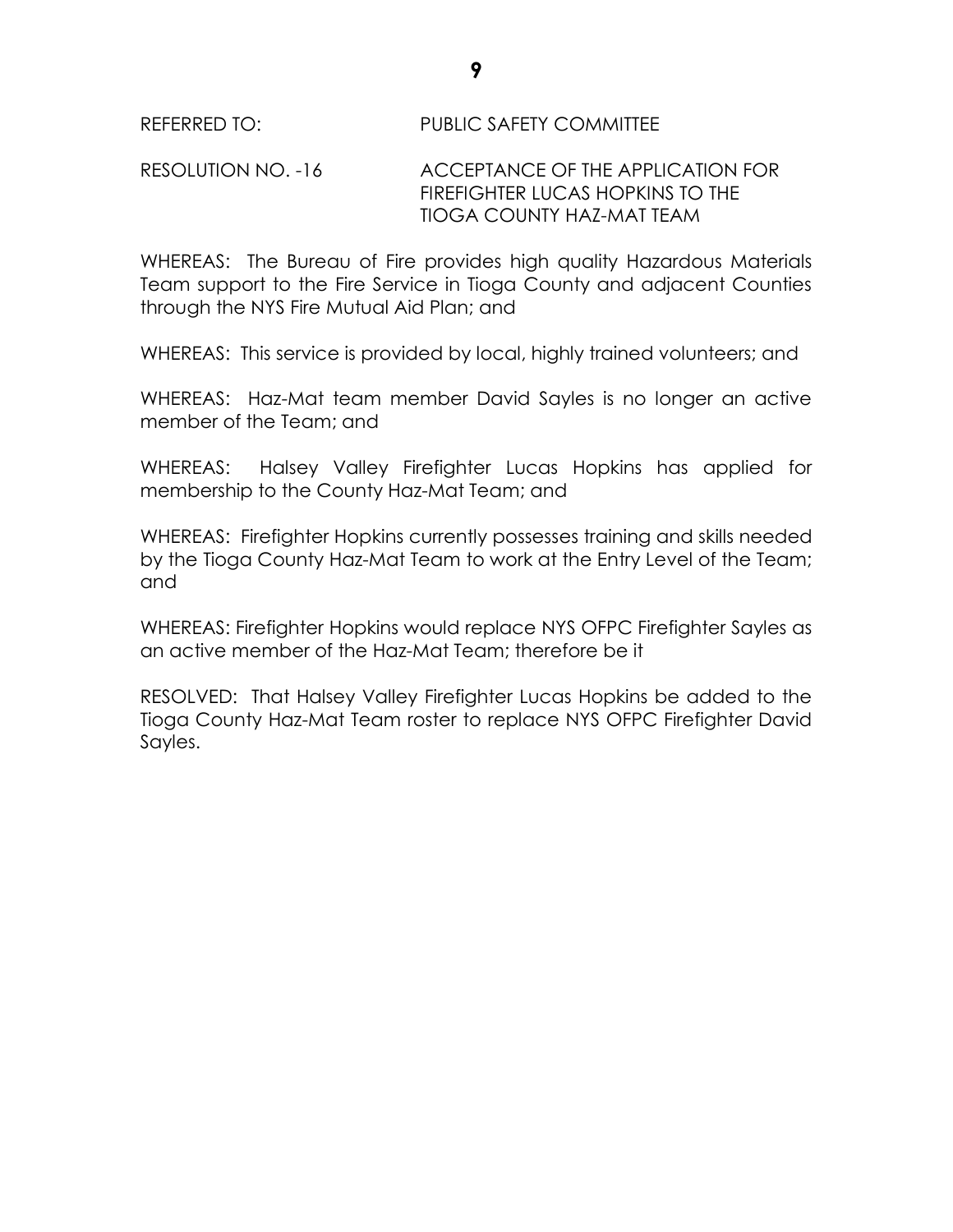## RESOLUTION NO. -16 ACCEPTANCE OF THE APPLICATION FOR FIREFIGHTER LUCAS HOPKINS TO THE TIOGA COUNTY HAZ-MAT TEAM

WHEREAS: The Bureau of Fire provides high quality Hazardous Materials Team support to the Fire Service in Tioga County and adjacent Counties through the NYS Fire Mutual Aid Plan; and

WHEREAS: This service is provided by local, highly trained volunteers; and

WHEREAS: Haz-Mat team member David Sayles is no longer an active member of the Team; and

WHEREAS: Halsey Valley Firefighter Lucas Hopkins has applied for membership to the County Haz-Mat Team; and

WHEREAS: Firefighter Hopkins currently possesses training and skills needed by the Tioga County Haz-Mat Team to work at the Entry Level of the Team; and

WHEREAS: Firefighter Hopkins would replace NYS OFPC Firefighter Sayles as an active member of the Haz-Mat Team; therefore be it

RESOLVED: That Halsey Valley Firefighter Lucas Hopkins be added to the Tioga County Haz-Mat Team roster to replace NYS OFPC Firefighter David Sayles.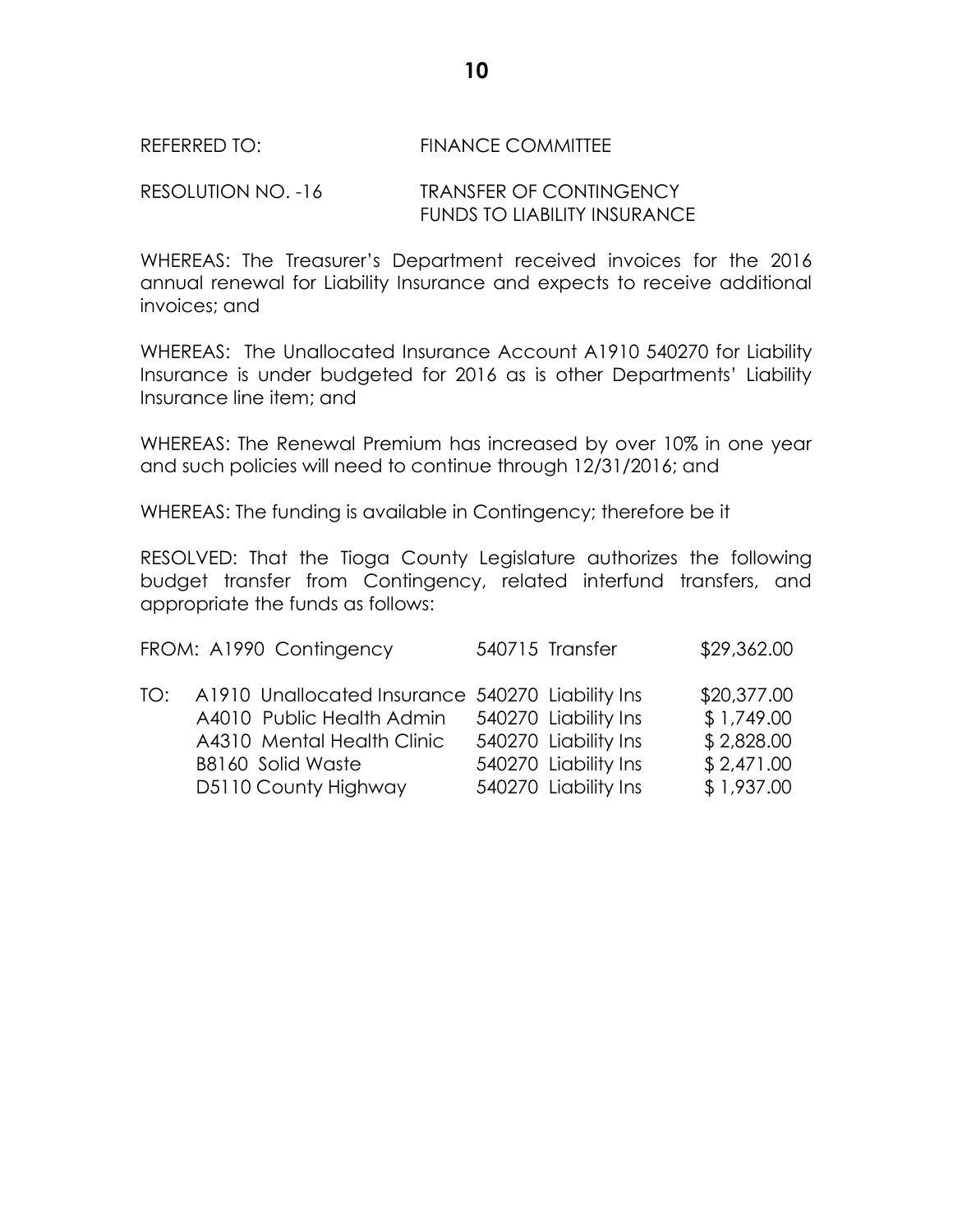### REFERRED TO: FINANCE COMMITTEE

### RESOLUTION NO. -16 TRANSFER OF CONTINGENCY FUNDS TO LIABILITY INSURANCE

WHEREAS: The Treasurer's Department received invoices for the 2016 annual renewal for Liability Insurance and expects to receive additional invoices; and

WHEREAS: The Unallocated Insurance Account A1910 540270 for Liability Insurance is under budgeted for 2016 as is other Departments' Liability Insurance line item; and

WHEREAS: The Renewal Premium has increased by over 10% in one year and such policies will need to continue through 12/31/2016; and

WHEREAS: The funding is available in Contingency; therefore be it

RESOLVED: That the Tioga County Legislature authorizes the following budget transfer from Contingency, related interfund transfers, and appropriate the funds as follows:

| FROM: A1990 Contingency                                                                                                                                             | 540715 Transfer                                                                              | \$29,362.00                                                         |
|---------------------------------------------------------------------------------------------------------------------------------------------------------------------|----------------------------------------------------------------------------------------------|---------------------------------------------------------------------|
| TO: A1910 Unallocated Insurance 540270 Liability Ins<br>A4010 Public Health Admin<br>A4310 Mental Health Clinic<br><b>B8160 Solid Waste</b><br>D5110 County Highway | 540270 Liability Ins<br>540270 Liability Ins<br>540270 Liability Ins<br>540270 Liability Ins | \$20,377.00<br>\$1,749.00<br>\$2,828.00<br>\$2,471.00<br>\$1,937.00 |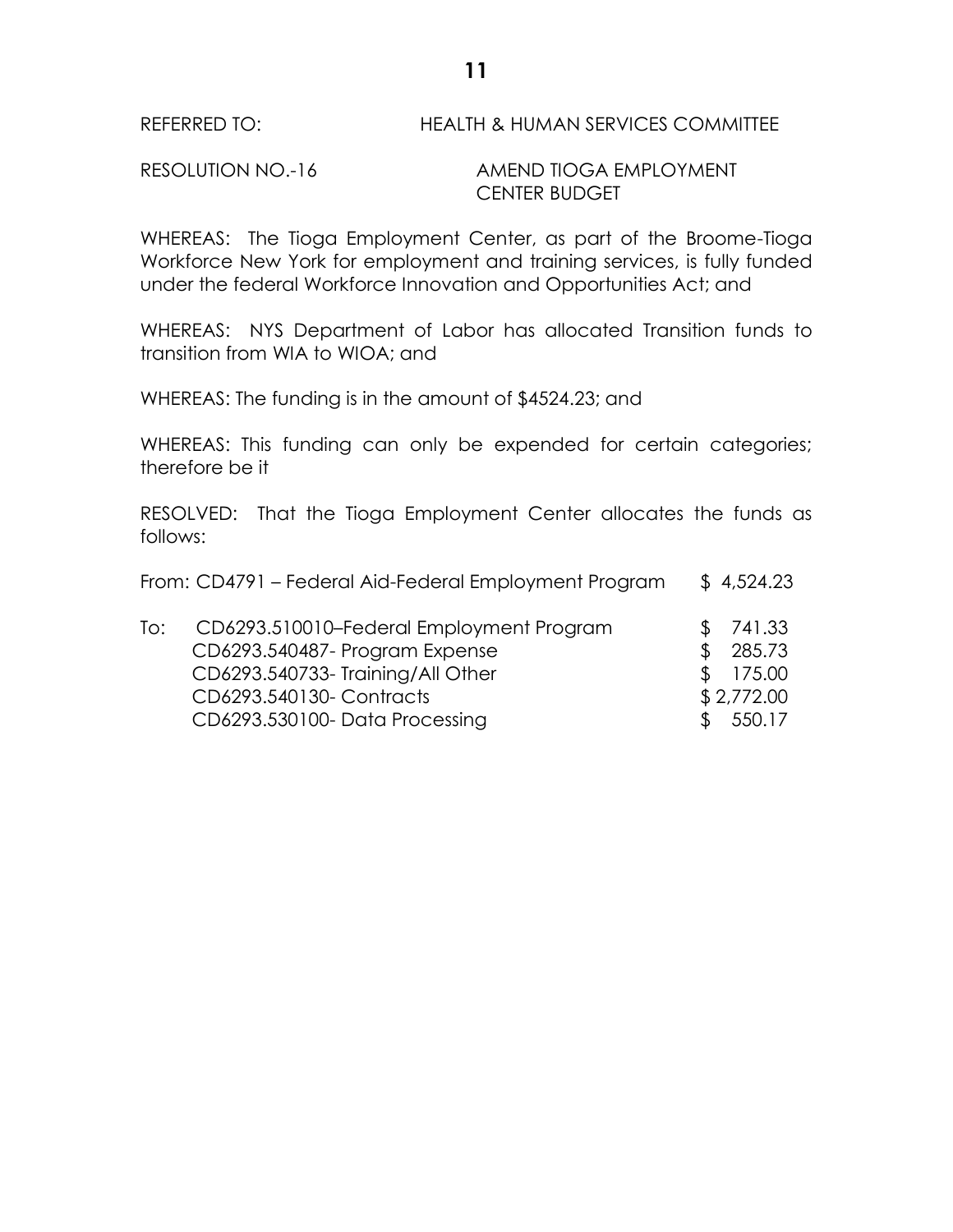RESOLUTION NO.-16 AMEND TIOGA EMPLOYMENT CENTER BUDGET

WHEREAS: The Tioga Employment Center, as part of the Broome-Tioga Workforce New York for employment and training services, is fully funded under the federal Workforce Innovation and Opportunities Act; and

WHEREAS: NYS Department of Labor has allocated Transition funds to transition from WIA to WIOA; and

WHEREAS: The funding is in the amount of \$4524.23; and

WHEREAS: This funding can only be expended for certain categories; therefore be it

RESOLVED: That the Tioga Employment Center allocates the funds as follows:

|     | From: CD4791 - Federal Aid-Federal Employment Program |              | \$4,524.23 |
|-----|-------------------------------------------------------|--------------|------------|
| To: | CD6293.510010-Federal Employment Program              |              | 741.33     |
|     | CD6293.540487- Program Expense                        | Æ.           | 285.73     |
|     | CD6293.540733-Training/All Other                      | <sup>S</sup> | 175.00     |
|     | CD6293.540130- Contracts                              |              | \$2,772.00 |
|     | CD6293.530100-Data Processing                         |              | 550.17     |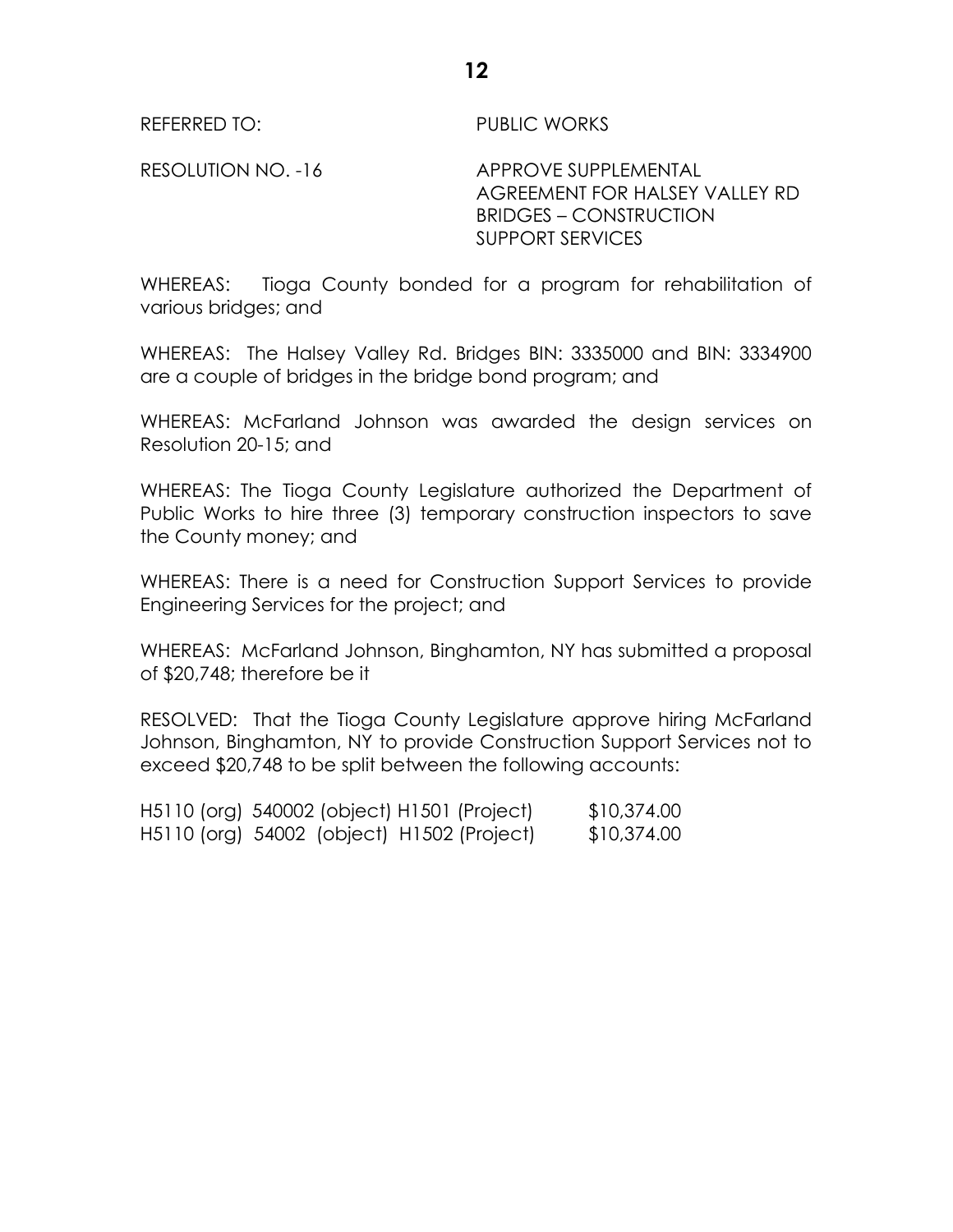REFERRED TO: PUBLIC WORKS

RESOLUTION NO. -16 APPROVE SUPPLEMENTAL AGREEMENT FOR HALSEY VALLEY RD BRIDGES – CONSTRUCTION SUPPORT SERVICES

WHEREAS: Tioga County bonded for a program for rehabilitation of various bridges; and

WHEREAS: The Halsey Valley Rd. Bridges BIN: 3335000 and BIN: 3334900 are a couple of bridges in the bridge bond program; and

WHEREAS: McFarland Johnson was awarded the design services on Resolution 20-15; and

WHEREAS: The Tioga County Legislature authorized the Department of Public Works to hire three (3) temporary construction inspectors to save the County money; and

WHEREAS: There is a need for Construction Support Services to provide Engineering Services for the project; and

WHEREAS: McFarland Johnson, Binghamton, NY has submitted a proposal of \$20,748; therefore be it

RESOLVED: That the Tioga County Legislature approve hiring McFarland Johnson, Binghamton, NY to provide Construction Support Services not to exceed \$20,748 to be split between the following accounts:

| H5110 (org) 540002 (object) H1501 (Project) | \$10,374.00 |
|---------------------------------------------|-------------|
| H5110 (org) 54002 (object) H1502 (Project)  | \$10,374.00 |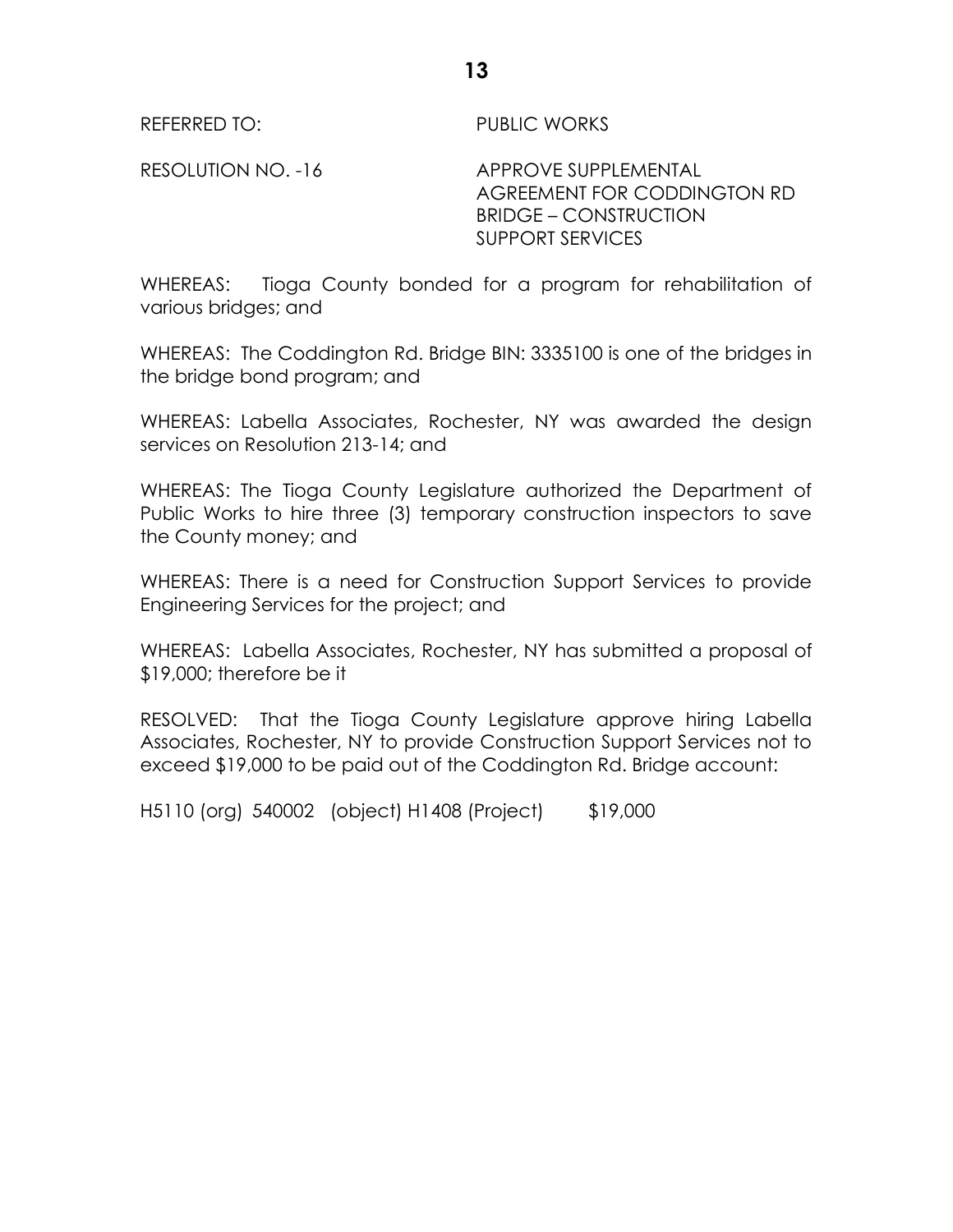REFERRED TO: PUBLIC WORKS

RESOLUTION NO. -16 APPROVE SUPPLEMENTAL AGREEMENT FOR CODDINGTON RD BRIDGE – CONSTRUCTION SUPPORT SERVICES

WHEREAS: Tioga County bonded for a program for rehabilitation of various bridges; and

WHEREAS: The Coddington Rd. Bridge BIN: 3335100 is one of the bridges in the bridge bond program; and

WHEREAS: Labella Associates, Rochester, NY was awarded the design services on Resolution 213-14; and

WHEREAS: The Tioga County Legislature authorized the Department of Public Works to hire three (3) temporary construction inspectors to save the County money; and

WHEREAS: There is a need for Construction Support Services to provide Engineering Services for the project; and

WHEREAS: Labella Associates, Rochester, NY has submitted a proposal of \$19,000; therefore be it

RESOLVED: That the Tioga County Legislature approve hiring Labella Associates, Rochester, NY to provide Construction Support Services not to exceed \$19,000 to be paid out of the Coddington Rd. Bridge account:

H5110 (org) 540002 (object) H1408 (Project) \$19,000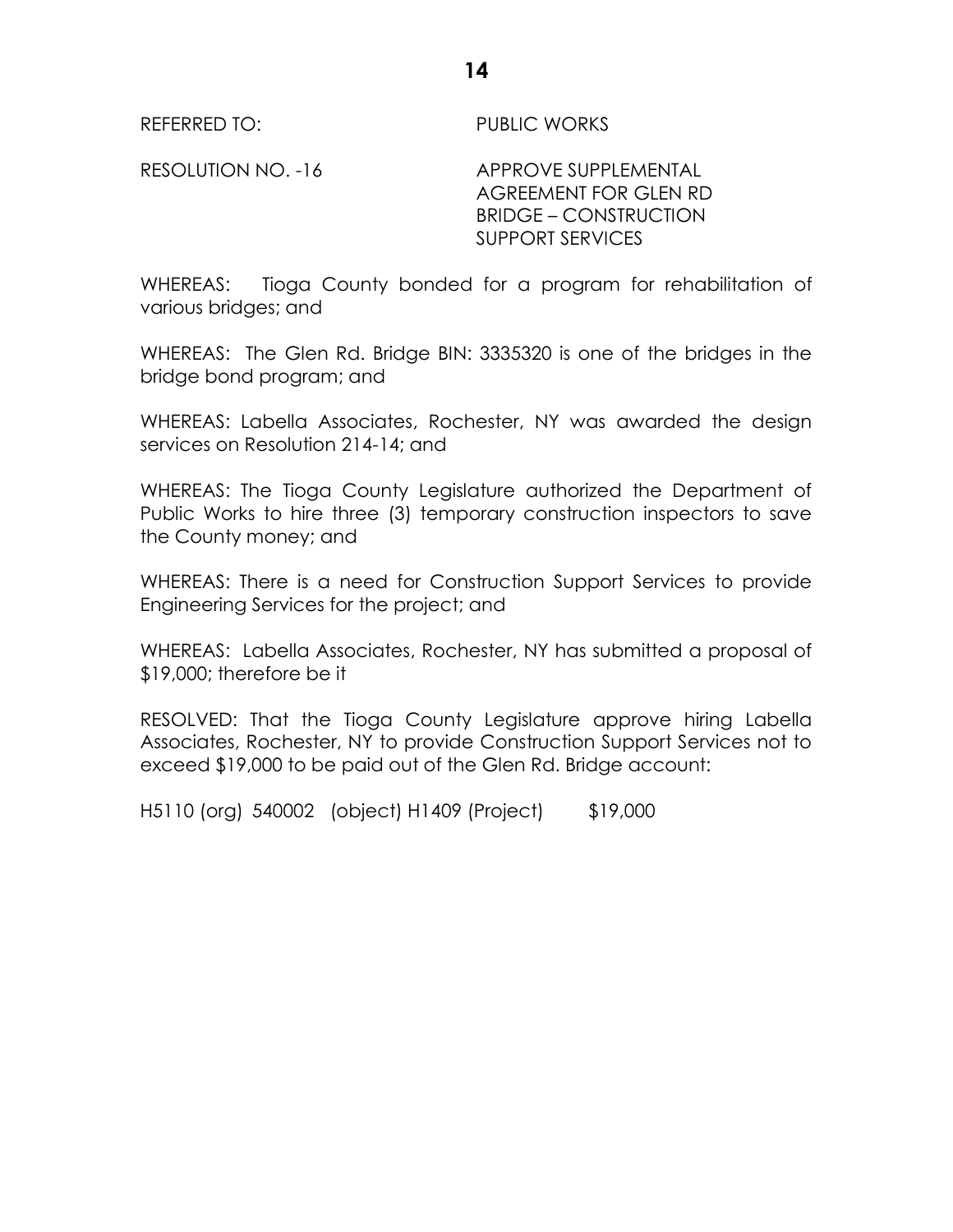REFERRED TO: PUBLIC WORKS

RESOLUTION NO. -16 APPROVE SUPPLEMENTAL AGREEMENT FOR GLEN RD BRIDGE – CONSTRUCTION SUPPORT SERVICES

WHEREAS: Tioga County bonded for a program for rehabilitation of various bridges; and

WHEREAS: The Glen Rd. Bridge BIN: 3335320 is one of the bridges in the bridge bond program; and

WHEREAS: Labella Associates, Rochester, NY was awarded the design services on Resolution 214-14; and

WHEREAS: The Tioga County Legislature authorized the Department of Public Works to hire three (3) temporary construction inspectors to save the County money; and

WHEREAS: There is a need for Construction Support Services to provide Engineering Services for the project; and

WHEREAS: Labella Associates, Rochester, NY has submitted a proposal of \$19,000; therefore be it

RESOLVED: That the Tioga County Legislature approve hiring Labella Associates, Rochester, NY to provide Construction Support Services not to exceed \$19,000 to be paid out of the Glen Rd. Bridge account:

H5110 (org) 540002 (object) H1409 (Project) \$19,000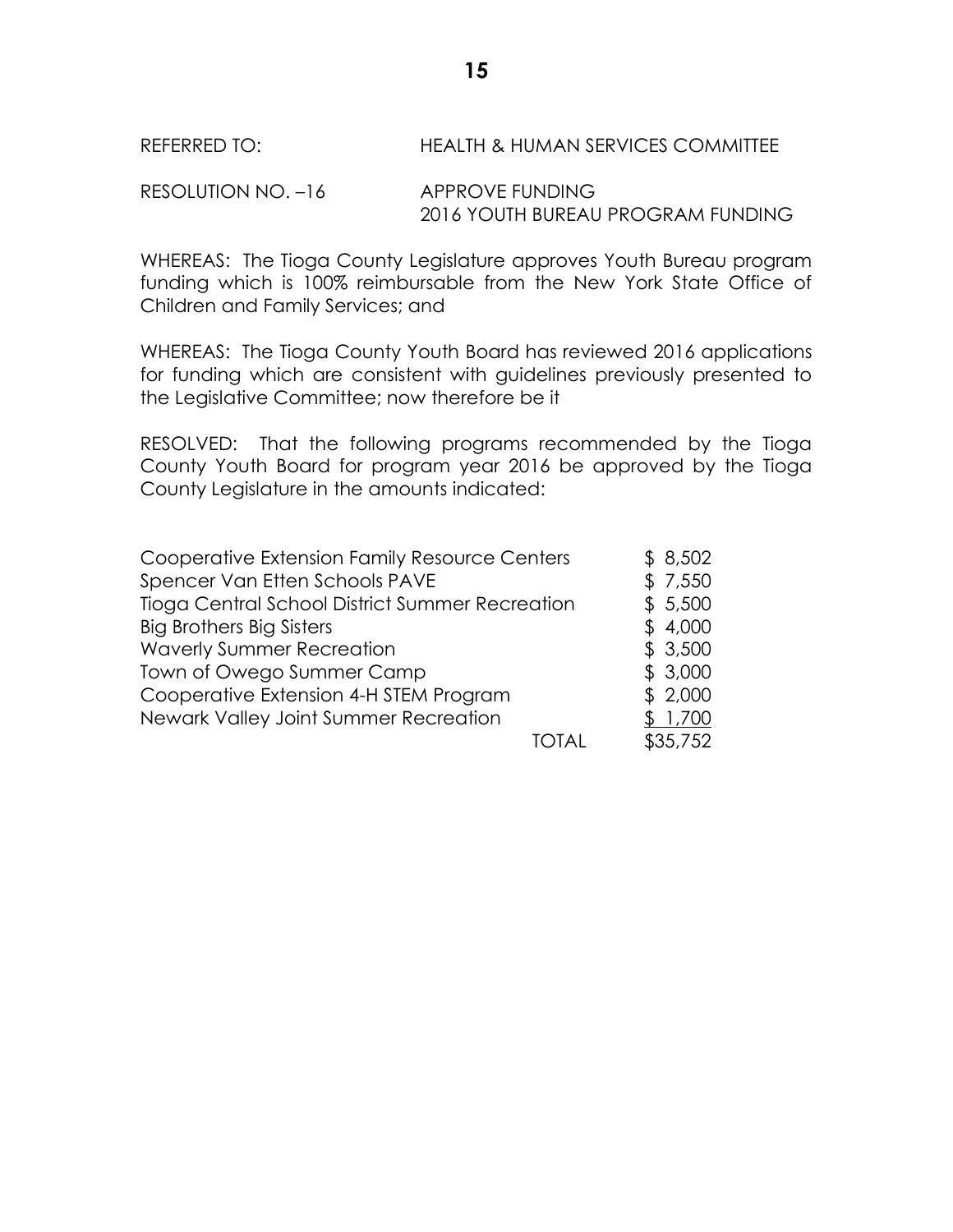REFERRED TO: HEALTH & HUMAN SERVICES COMMITTEE

RESOLUTION NO. -16 APPROVE FUNDING 2016 YOUTH BUREAU PROGRAM FUNDING

WHEREAS: The Tioga County Legislature approves Youth Bureau program funding which is 100% reimbursable from the New York State Office of Children and Family Services; and

WHEREAS: The Tioga County Youth Board has reviewed 2016 applications for funding which are consistent with guidelines previously presented to the Legislative Committee; now therefore be it

RESOLVED: That the following programs recommended by the Tioga County Youth Board for program year 2016 be approved by the Tioga County Legislature in the amounts indicated:

| Cooperative Extension Family Resource Centers   | \$8,502  |
|-------------------------------------------------|----------|
| Spencer Van Etten Schools PAVE                  | \$7,550  |
| Tioga Central School District Summer Recreation | \$5,500  |
| <b>Big Brothers Big Sisters</b>                 | \$4,000  |
| <b>Waverly Summer Recreation</b>                | \$3,500  |
| Town of Owego Summer Camp                       | \$3,000  |
| Cooperative Extension 4-H STEM Program          | \$2,000  |
| Newark Valley Joint Summer Recreation           | 1,700    |
|                                                 | \$35,752 |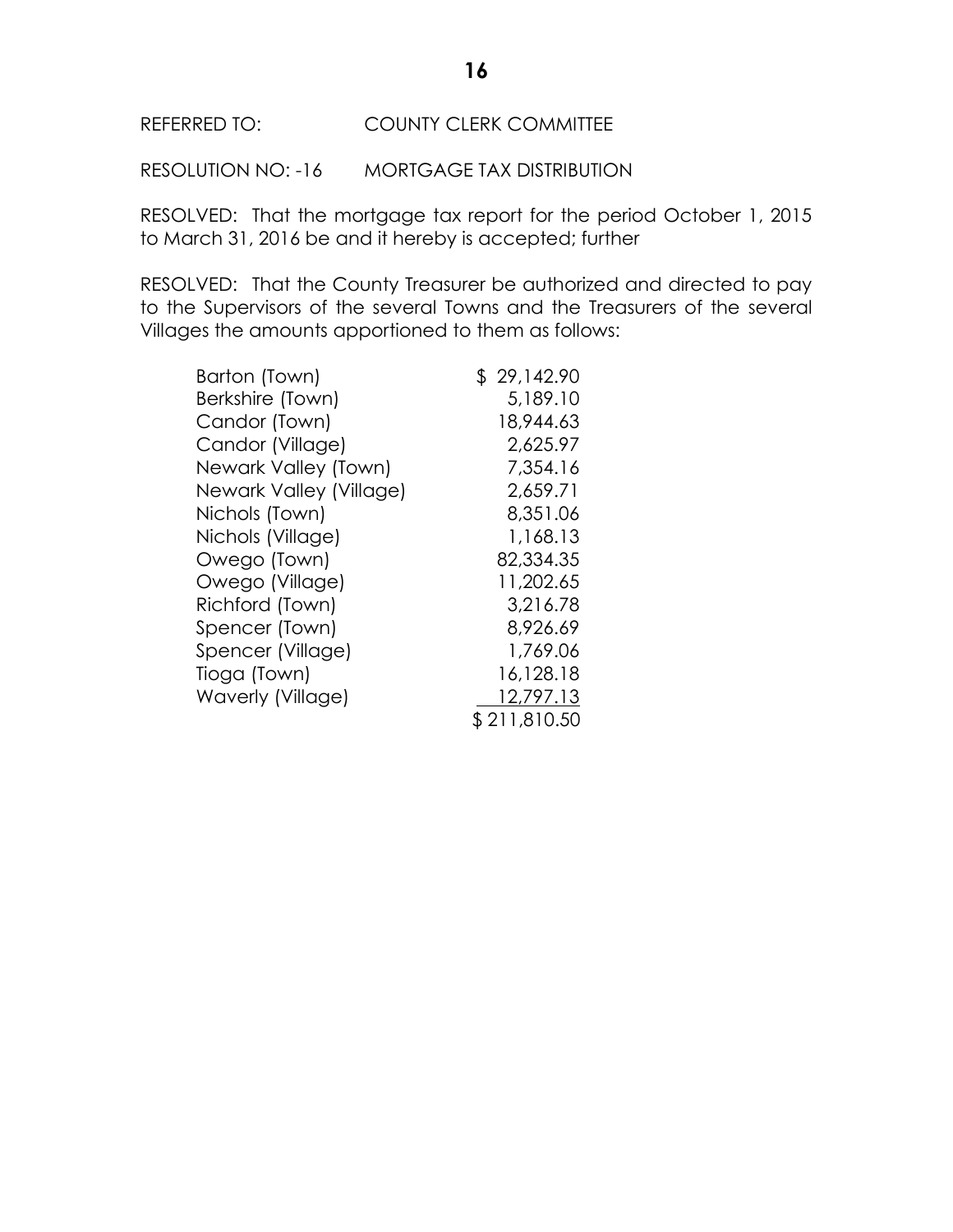# REFERRED TO: COUNTY CLERK COMMITTEE

RESOLUTION NO: -16 MORTGAGE TAX DISTRIBUTION

RESOLVED: That the mortgage tax report for the period October 1, 2015 to March 31, 2016 be and it hereby is accepted; further

RESOLVED: That the County Treasurer be authorized and directed to pay to the Supervisors of the several Towns and the Treasurers of the several Villages the amounts apportioned to them as follows:

| Barton (Town)           | \$29,142.90  |
|-------------------------|--------------|
| Berkshire (Town)        | 5,189.10     |
| Candor (Town)           | 18,944.63    |
| Candor (Village)        | 2,625.97     |
| Newark Valley (Town)    | 7,354.16     |
| Newark Valley (Village) | 2,659.71     |
| Nichols (Town)          | 8,351.06     |
| Nichols (Village)       | 1,168.13     |
| Owego (Town)            | 82,334.35    |
| Owego (Village)         | 11,202.65    |
| Richford (Town)         | 3,216.78     |
| Spencer (Town)          | 8,926.69     |
| Spencer (Village)       | 1,769.06     |
| Tioga (Town)            | 16,128.18    |
| Waverly (Village)       | 12,797.13    |
|                         | \$211,810.50 |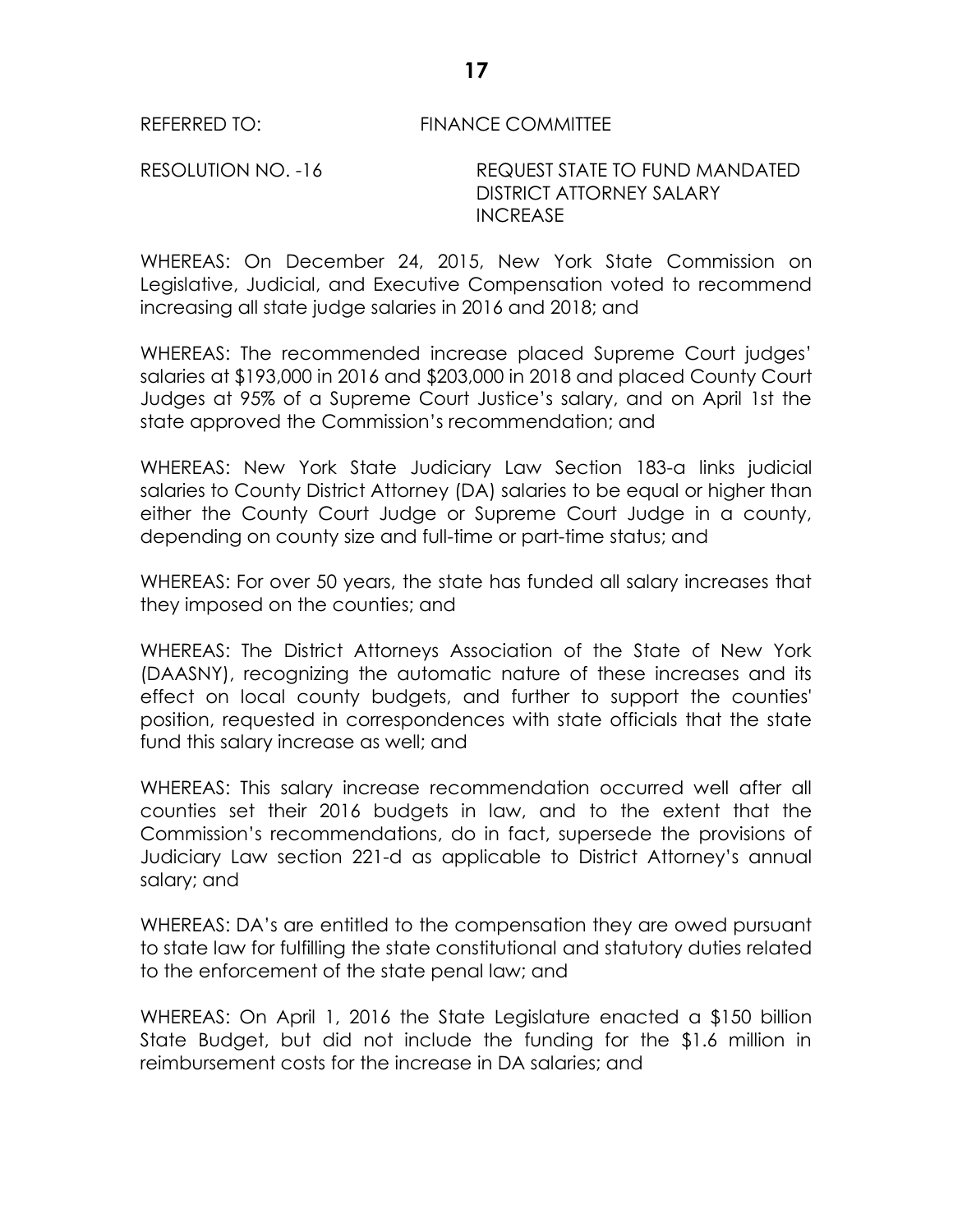REFERRED TO: FINANCE COMMITTEE

RESOLUTION NO. -16 REQUEST STATE TO FUND MANDATED DISTRICT ATTORNEY SALARY INCREASE

WHEREAS: On December 24, 2015, New York State Commission on Legislative, Judicial, and Executive Compensation voted to recommend increasing all state judge salaries in 2016 and 2018; and

WHEREAS: The recommended increase placed Supreme Court judges' salaries at \$193,000 in 2016 and \$203,000 in 2018 and placed County Court Judges at 95% of a Supreme Court Justice's salary, and on April 1st the state approved the Commission's recommendation; and

WHEREAS: New York State Judiciary Law Section 183-a links judicial salaries to County District Attorney (DA) salaries to be equal or higher than either the County Court Judge or Supreme Court Judge in a county, depending on county size and full-time or part-time status; and

WHEREAS: For over 50 years, the state has funded all salary increases that they imposed on the counties; and

WHEREAS: The District Attorneys Association of the State of New York (DAASNY), recognizing the automatic nature of these increases and its effect on local county budgets, and further to support the counties' position, requested in correspondences with state officials that the state fund this salary increase as well; and

WHEREAS: This salary increase recommendation occurred well after all counties set their 2016 budgets in law, and to the extent that the Commission's recommendations, do in fact, supersede the provisions of Judiciary Law section 221-d as applicable to District Attorney's annual salary; and

WHEREAS: DA's are entitled to the compensation they are owed pursuant to state law for fulfilling the state constitutional and statutory duties related to the enforcement of the state penal law; and

WHEREAS: On April 1, 2016 the State Legislature enacted a \$150 billion State Budget, but did not include the funding for the \$1.6 million in reimbursement costs for the increase in DA salaries; and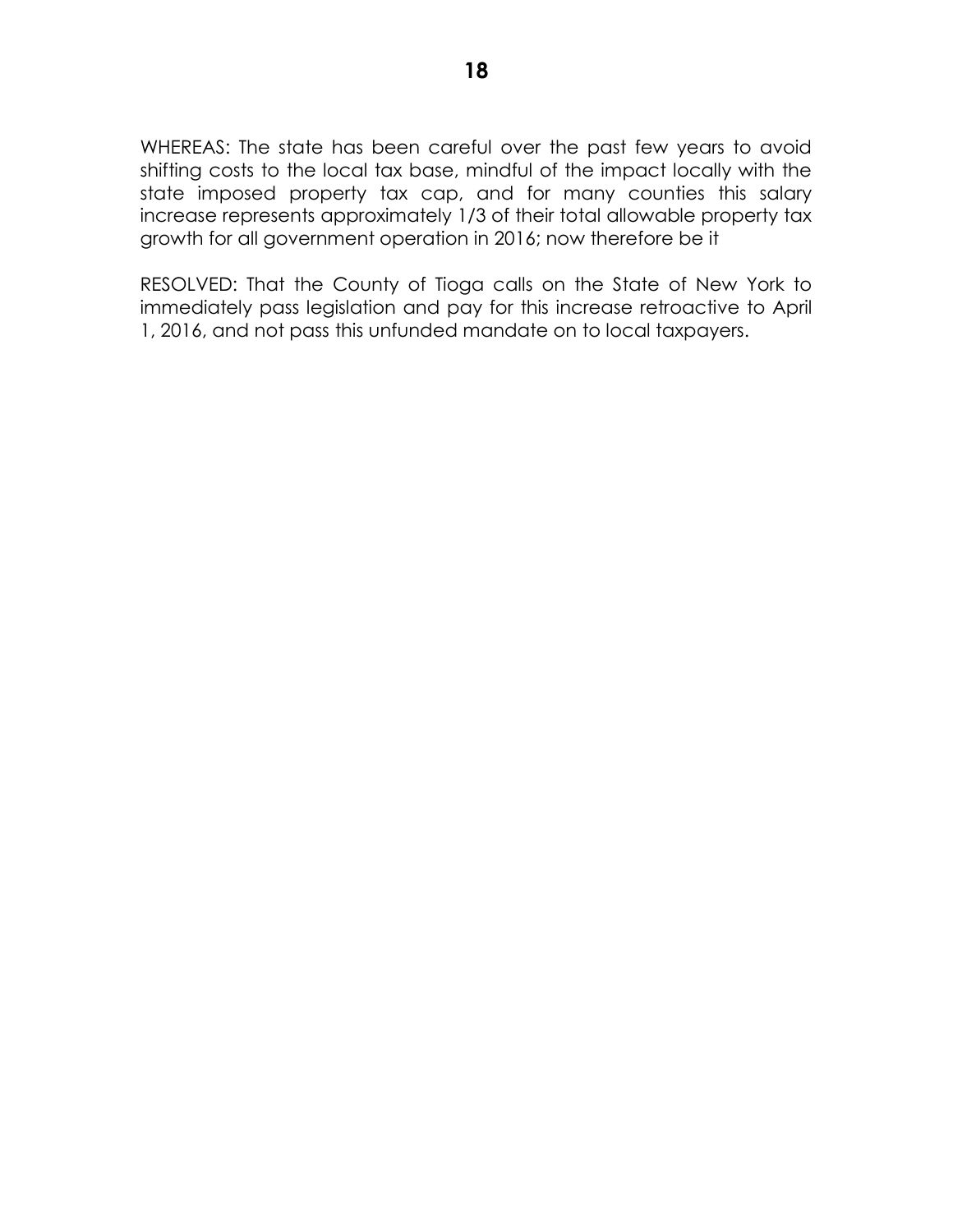WHEREAS: The state has been careful over the past few years to avoid shifting costs to the local tax base, mindful of the impact locally with the state imposed property tax cap, and for many counties this salary increase represents approximately 1/3 of their total allowable property tax growth for all government operation in 2016; now therefore be it

RESOLVED: That the County of Tioga calls on the State of New York to immediately pass legislation and pay for this increase retroactive to April 1, 2016, and not pass this unfunded mandate on to local taxpayers.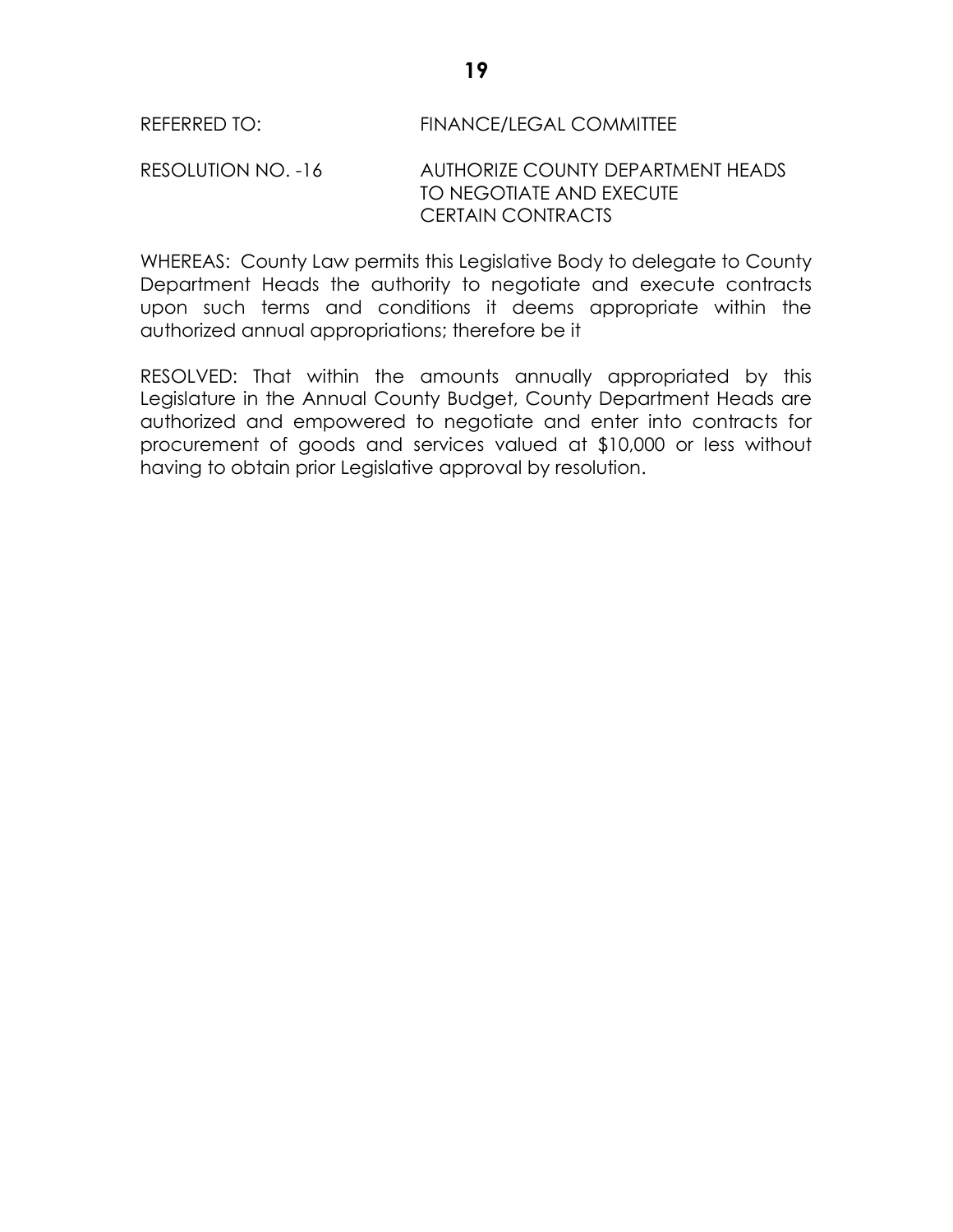RESOLUTION NO. -16 AUTHORIZE COUNTY DEPARTMENT HEADS TO NEGOTIATE AND EXECUTE CERTAIN CONTRACTS

WHEREAS: County Law permits this Legislative Body to delegate to County Department Heads the authority to negotiate and execute contracts upon such terms and conditions it deems appropriate within the authorized annual appropriations; therefore be it

RESOLVED: That within the amounts annually appropriated by this Legislature in the Annual County Budget, County Department Heads are authorized and empowered to negotiate and enter into contracts for procurement of goods and services valued at \$10,000 or less without having to obtain prior Legislative approval by resolution.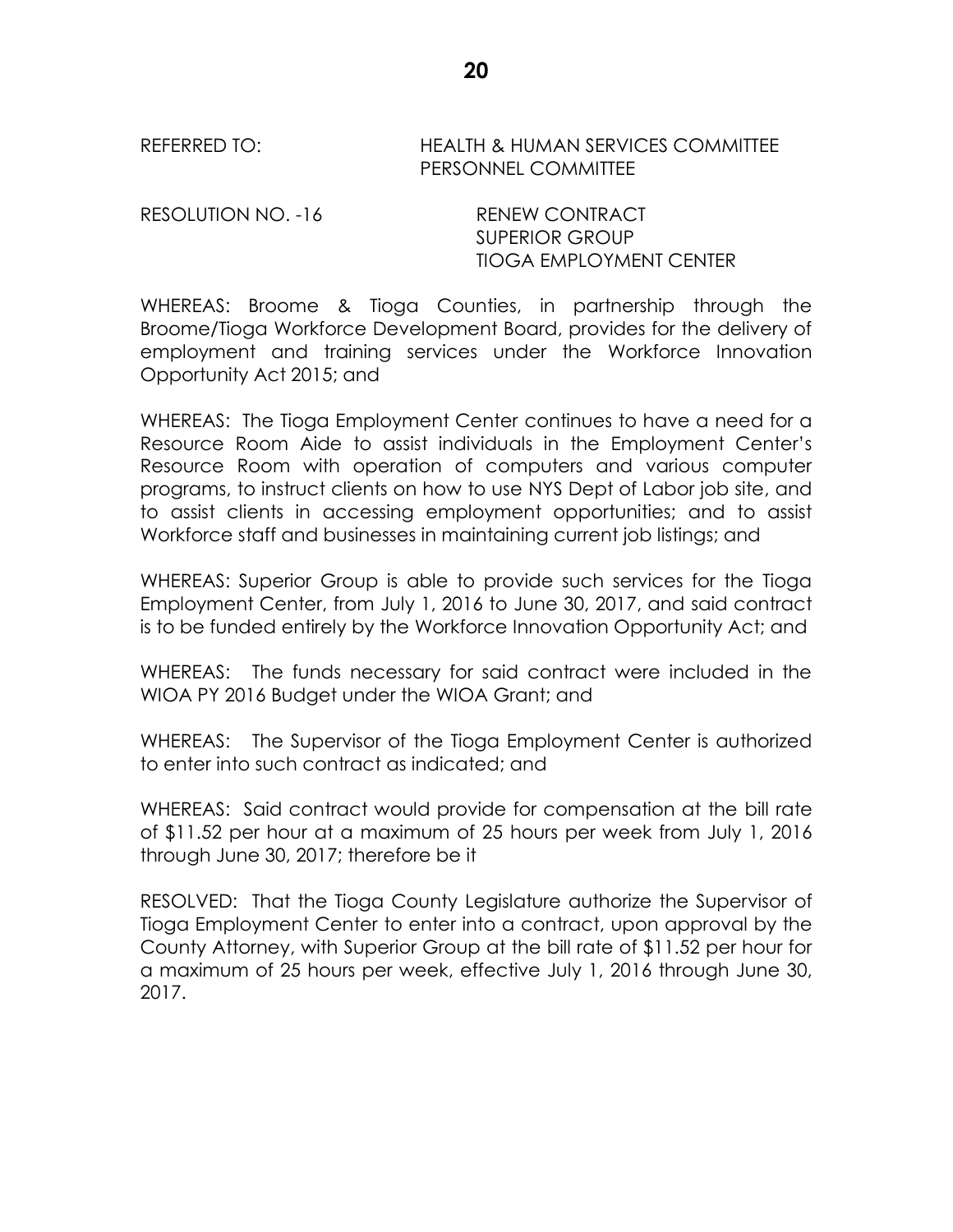REFERRED TO: HEALTH & HUMAN SERVICES COMMITTEE PERSONNEL COMMITTEE

RESOLUTION NO. -16 RENEW CONTRACT

SUPERIOR GROUP TIOGA EMPLOYMENT CENTER

WHEREAS: Broome & Tioga Counties, in partnership through the Broome/Tioga Workforce Development Board, provides for the delivery of employment and training services under the Workforce Innovation Opportunity Act 2015; and

WHEREAS: The Tioga Employment Center continues to have a need for a Resource Room Aide to assist individuals in the Employment Center's Resource Room with operation of computers and various computer programs, to instruct clients on how to use NYS Dept of Labor job site, and to assist clients in accessing employment opportunities; and to assist Workforce staff and businesses in maintaining current job listings; and

WHEREAS: Superior Group is able to provide such services for the Tioga Employment Center, from July 1, 2016 to June 30, 2017, and said contract is to be funded entirely by the Workforce Innovation Opportunity Act; and

WHEREAS: The funds necessary for said contract were included in the WIOA PY 2016 Budget under the WIOA Grant; and

WHEREAS: The Supervisor of the Tioga Employment Center is authorized to enter into such contract as indicated; and

WHEREAS: Said contract would provide for compensation at the bill rate of \$11.52 per hour at a maximum of 25 hours per week from July 1, 2016 through June 30, 2017; therefore be it

RESOLVED: That the Tioga County Legislature authorize the Supervisor of Tioga Employment Center to enter into a contract, upon approval by the County Attorney, with Superior Group at the bill rate of \$11.52 per hour for a maximum of 25 hours per week, effective July 1, 2016 through June 30, 2017.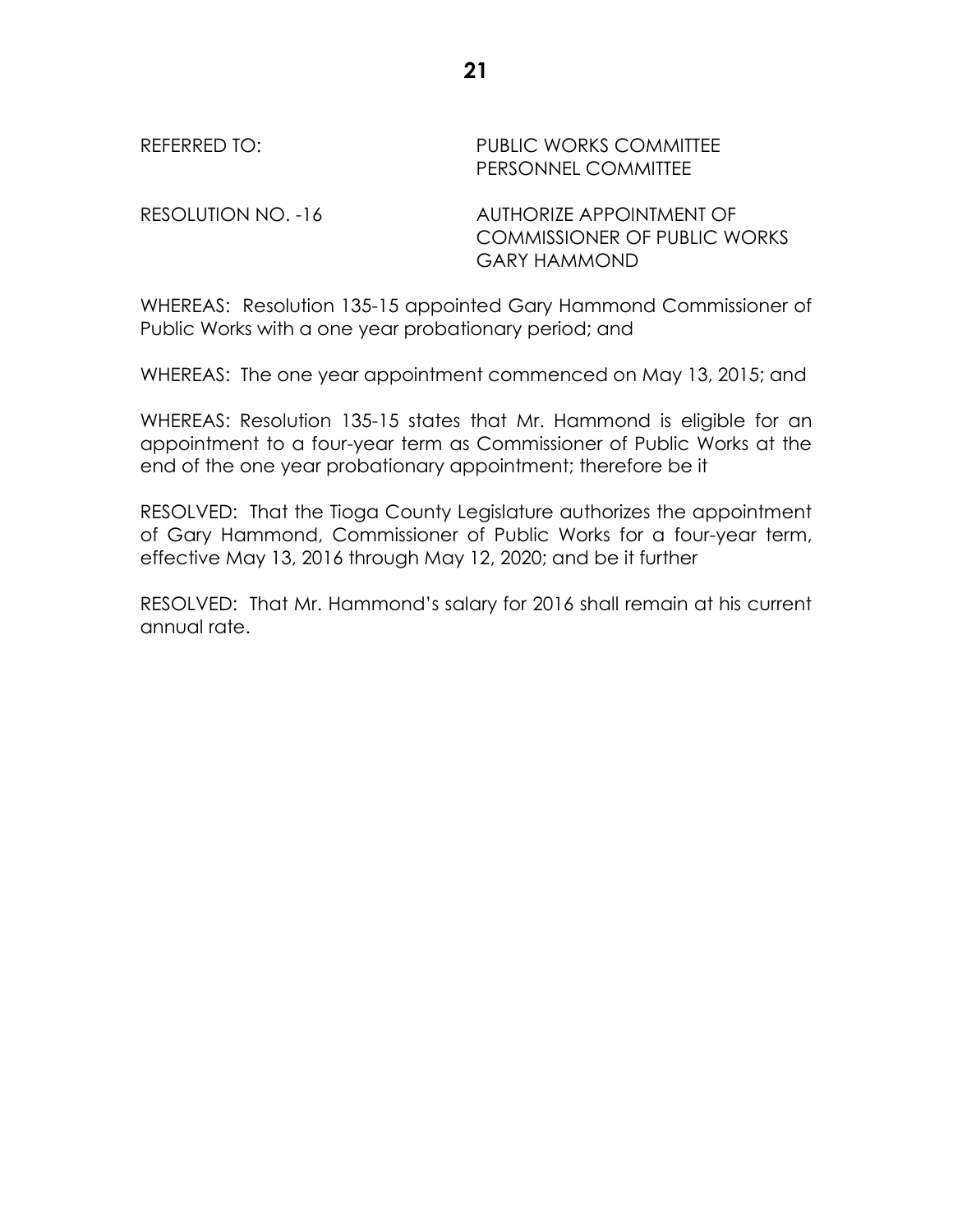| REFERRED TO:       | <b>PUBLIC WORKS COMMITTEE</b><br>PERSONNEL COMMITTEE                                   |
|--------------------|----------------------------------------------------------------------------------------|
| RESOLUTION NO. -16 | AUTHORIZE APPOINTMENT OF<br><b>COMMISSIONER OF PUBLIC WORKS</b><br><b>GARY HAMMOND</b> |

WHEREAS: Resolution 135-15 appointed Gary Hammond Commissioner of Public Works with a one year probationary period; and

WHEREAS: The one year appointment commenced on May 13, 2015; and

WHEREAS: Resolution 135-15 states that Mr. Hammond is eligible for an appointment to a four-year term as Commissioner of Public Works at the end of the one year probationary appointment; therefore be it

RESOLVED: That the Tioga County Legislature authorizes the appointment of Gary Hammond, Commissioner of Public Works for a four-year term, effective May 13, 2016 through May 12, 2020; and be it further

RESOLVED: That Mr. Hammond's salary for 2016 shall remain at his current annual rate.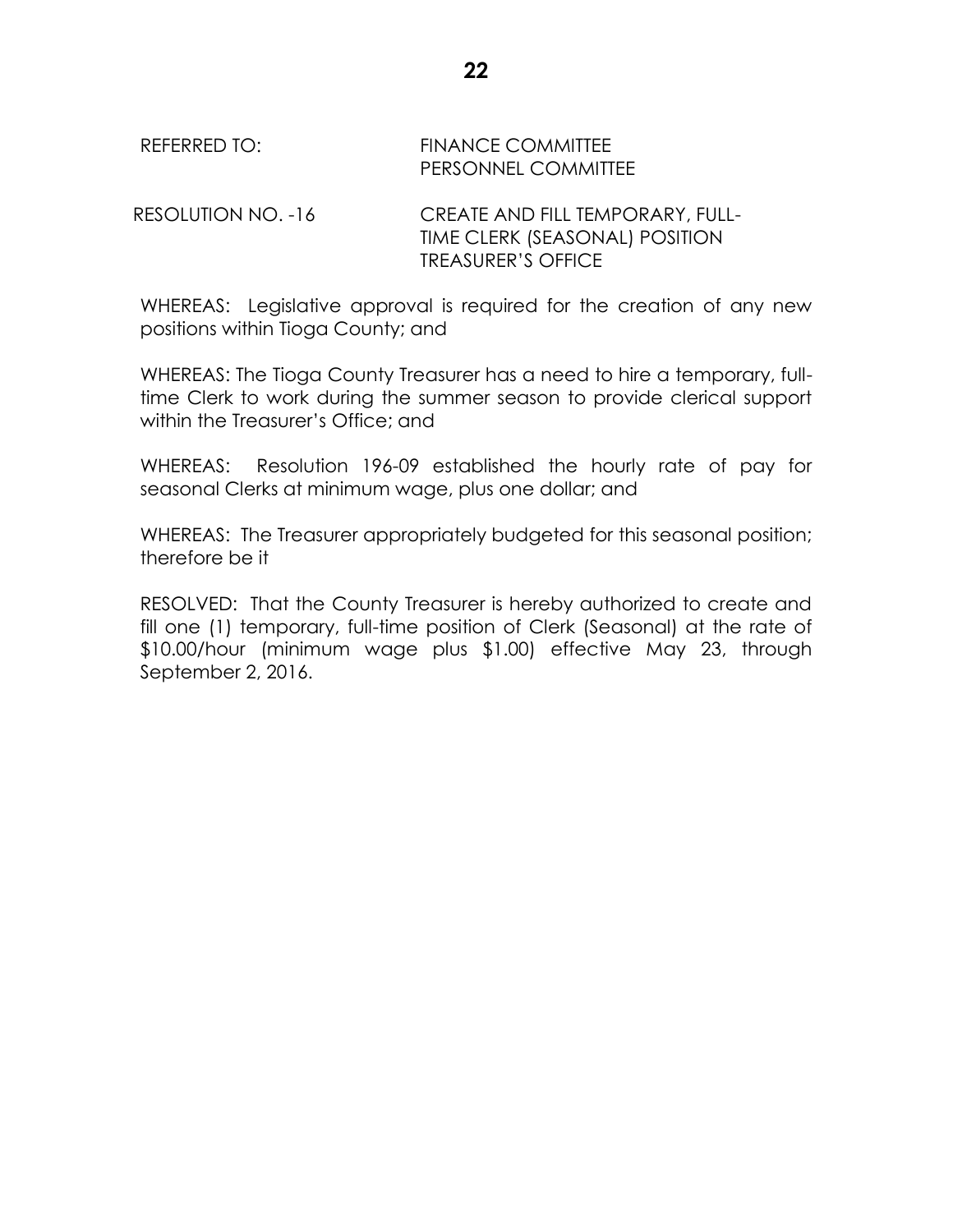## REFERRED TO: FINANCE COMMITTEE PERSONNEL COMMITTEE

RESOLUTION NO. -16 CREATE AND FILL TEMPORARY, FULL-TIME CLERK (SEASONAL) POSITION TREASURER'S OFFICE

WHEREAS: Legislative approval is required for the creation of any new positions within Tioga County; and

WHEREAS: The Tioga County Treasurer has a need to hire a temporary, fulltime Clerk to work during the summer season to provide clerical support within the Treasurer's Office; and

WHEREAS: Resolution 196-09 established the hourly rate of pay for seasonal Clerks at minimum wage, plus one dollar; and

WHEREAS: The Treasurer appropriately budgeted for this seasonal position; therefore be it

RESOLVED: That the County Treasurer is hereby authorized to create and fill one (1) temporary, full-time position of Clerk (Seasonal) at the rate of \$10.00/hour (minimum wage plus \$1.00) effective May 23, through September 2, 2016.